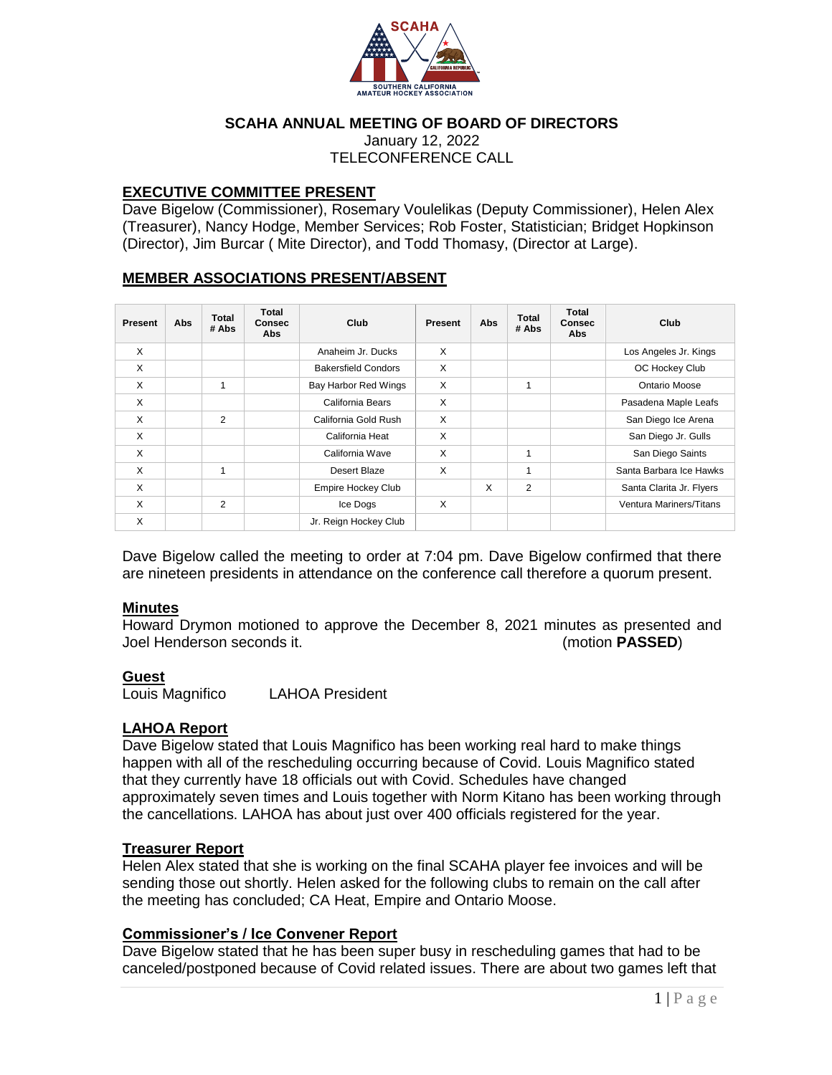

## **SCAHA ANNUAL MEETING OF BOARD OF DIRECTORS**

January 12, 2022 TELECONFERENCE CALL

## **EXECUTIVE COMMITTEE PRESENT**

Dave Bigelow (Commissioner), Rosemary Voulelikas (Deputy Commissioner), Helen Alex (Treasurer), Nancy Hodge, Member Services; Rob Foster, Statistician; Bridget Hopkinson (Director), Jim Burcar ( Mite Director), and Todd Thomasy, (Director at Large).

# **MEMBER ASSOCIATIONS PRESENT/ABSENT**

| Present      | Abs | <b>Total</b><br># Abs | <b>Total</b><br><b>Consec</b><br>Abs | Club                       | Present | Abs | <b>Total</b><br># Abs | <b>Total</b><br><b>Consec</b><br>Abs | Club                     |
|--------------|-----|-----------------------|--------------------------------------|----------------------------|---------|-----|-----------------------|--------------------------------------|--------------------------|
| X            |     |                       |                                      | Anaheim Jr. Ducks          | X       |     |                       |                                      | Los Angeles Jr. Kings    |
| X            |     |                       |                                      | <b>Bakersfield Condors</b> | X       |     |                       |                                      | OC Hockey Club           |
| X            |     | 1                     |                                      | Bay Harbor Red Wings       | X       |     | 1                     |                                      | Ontario Moose            |
| X            |     |                       |                                      | California Bears           | X       |     |                       |                                      | Pasadena Maple Leafs     |
| $\mathsf{x}$ |     | $\overline{2}$        |                                      | California Gold Rush       | X       |     |                       |                                      | San Diego Ice Arena      |
| X            |     |                       |                                      | California Heat            | X       |     |                       |                                      | San Diego Jr. Gulls      |
| X            |     |                       |                                      | California Wave            | X       |     | 1                     |                                      | San Diego Saints         |
| X            |     | 1                     |                                      | Desert Blaze               | X       |     | 1                     |                                      | Santa Barbara Ice Hawks  |
| X            |     |                       |                                      | Empire Hockey Club         |         | X   | $\overline{2}$        |                                      | Santa Clarita Jr. Flyers |
| X            |     | 2                     |                                      | Ice Dogs                   | X       |     |                       |                                      | Ventura Mariners/Titans  |
| X            |     |                       |                                      | Jr. Reign Hockey Club      |         |     |                       |                                      |                          |

Dave Bigelow called the meeting to order at 7:04 pm. Dave Bigelow confirmed that there are nineteen presidents in attendance on the conference call therefore a quorum present.

### **Minutes**

Howard Drymon motioned to approve the December 8, 2021 minutes as presented and Joel Henderson seconds it. (motion **PASSED**)

### **Guest**

Louis Magnifico LAHOA President

# **LAHOA Report**

Dave Bigelow stated that Louis Magnifico has been working real hard to make things happen with all of the rescheduling occurring because of Covid. Louis Magnifico stated that they currently have 18 officials out with Covid. Schedules have changed approximately seven times and Louis together with Norm Kitano has been working through the cancellations. LAHOA has about just over 400 officials registered for the year.

### **Treasurer Report**

Helen Alex stated that she is working on the final SCAHA player fee invoices and will be sending those out shortly. Helen asked for the following clubs to remain on the call after the meeting has concluded; CA Heat, Empire and Ontario Moose.

## **Commissioner's / Ice Convener Report**

Dave Bigelow stated that he has been super busy in rescheduling games that had to be canceled/postponed because of Covid related issues. There are about two games left that